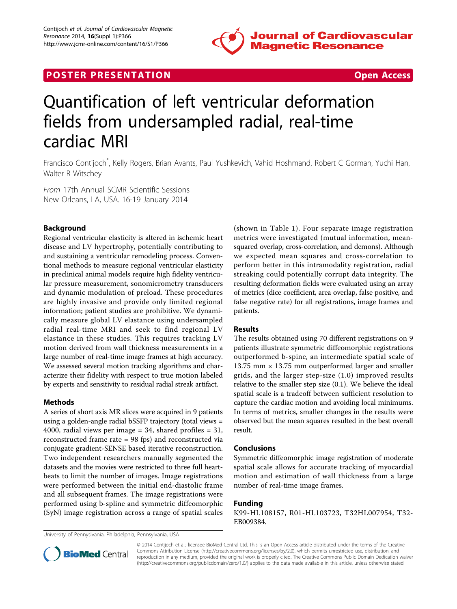

## **POSTER PRESENTATION CONSUMING THE SECOND CONSUMING THE SECOND CONSUMING THE SECOND CONSUMING THE SECOND CONSUMING THE SECOND CONSUMING THE SECOND CONSUMING THE SECOND CONSUMING THE SECOND CONSUMING THE SECOND CONSUMING**



# Quantification of left ventricular deformation fields from undersampled radial, real-time cardiac MRI

Francisco Contijoch\* , Kelly Rogers, Brian Avants, Paul Yushkevich, Vahid Hoshmand, Robert C Gorman, Yuchi Han, Walter R Witschey

From 17th Annual SCMR Scientific Sessions New Orleans, LA, USA. 16-19 January 2014

### Background

Regional ventricular elasticity is altered in ischemic heart disease and LV hypertrophy, potentially contributing to and sustaining a ventricular remodeling process. Conventional methods to measure regional ventricular elasticity in preclinical animal models require high fidelity ventricular pressure measurement, sonomicrometry transducers and dynamic modulation of preload. These procedures are highly invasive and provide only limited regional information; patient studies are prohibitive. We dynamically measure global LV elastance using undersampled radial real-time MRI and seek to find regional LV elastance in these studies. This requires tracking LV motion derived from wall thickness measurements in a large number of real-time image frames at high accuracy. We assessed several motion tracking algorithms and characterize their fidelity with respect to true motion labeled by experts and sensitivity to residual radial streak artifact.

#### Methods

A series of short axis MR slices were acquired in 9 patients using a golden-angle radial bSSFP trajectory (total views = 4000, radial views per image  $= 34$ , shared profiles  $= 31$ , reconstructed frame rate = 98 fps) and reconstructed via conjugate gradient-SENSE based iterative reconstruction. Two independent researchers manually segmented the datasets and the movies were restricted to three full heartbeats to limit the number of images. Image registrations were performed between the initial end-diastolic frame and all subsequent frames. The image registrations were performed using b-spline and symmetric diffeomorphic (SyN) image registration across a range of spatial scales

(shown in Table [1](#page-1-0)). Four separate image registration metrics were investigated (mutual information, meansquared overlap, cross-correlation, and demons). Although we expected mean squares and cross-correlation to perform better in this intramodality registration, radial streaking could potentially corrupt data integrity. The resulting deformation fields were evaluated using an array of metrics (dice coefficient, area overlap, false positive, and false negative rate) for all registrations, image frames and patients.

#### Results

The results obtained using 70 different registrations on 9 patients illustrate symmetric diffeomorphic registrations outperformed b-spine, an intermediate spatial scale of 13.75 mm  $\times$  13.75 mm outperformed larger and smaller grids, and the larger step-size (1.0) improved results relative to the smaller step size (0.1). We believe the ideal spatial scale is a tradeoff between sufficient resolution to capture the cardiac motion and avoiding local minimums. In terms of metrics, smaller changes in the results were observed but the mean squares resulted in the best overall result.

#### Conclusions

Symmetric diffeomorphic image registration of moderate spatial scale allows for accurate tracking of myocardial motion and estimation of wall thickness from a large number of real-time image frames.

#### Funding

K99-HL108157, R01-HL103723, T32HL007954, T32- EB009384.

University of Pennyslvania, Philadelphia, Pennsylvania, USA



© 2014 Contijoch et al.; licensee BioMed Central Ltd. This is an Open Access article distributed under the terms of the Creative Commons Attribution License [\(http://creativecommons.org/licenses/by/2.0](http://creativecommons.org/licenses/by/2.0)), which permits unrestricted use, distribution, and reproduction in any medium, provided the original work is properly cited. The Creative Commons Public Domain Dedication waiver [\(http://creativecommons.org/publicdomain/zero/1.0/](http://creativecommons.org/publicdomain/zero/1.0/)) applies to the data made available in this article, unless otherwise stated.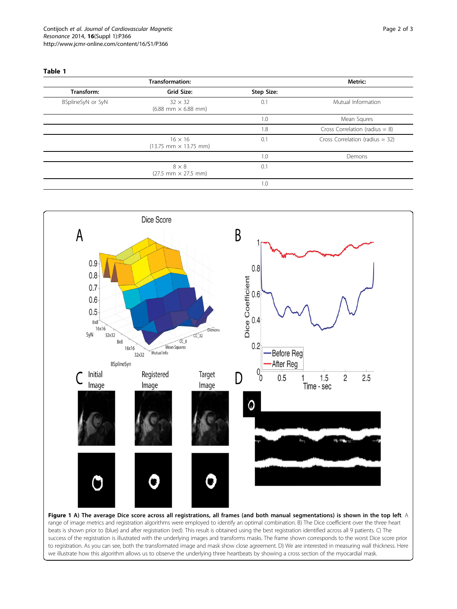#### <span id="page-1-0"></span>Table 1

| <b>Transformation:</b> |                                                                    |            | Metric:                           |
|------------------------|--------------------------------------------------------------------|------------|-----------------------------------|
| Transform:             | Grid Size:                                                         | Step Size: |                                   |
| BSplineSyN or SyN      | $32 \times 32$<br>$(6.88$ mm $\times$ 6.88 mm)                     | 0.1        | Mutual Information                |
|                        |                                                                    | 1.0        | Mean Squres                       |
|                        |                                                                    | 1.8        | Cross Correlation (radius $= 8$ ) |
|                        | $16 \times 16$<br>$(13.75 \, \text{mm} \times 13.75 \, \text{mm})$ | 0.1        | Cross Correlation (radius $=$ 32) |
|                        |                                                                    | 1.0        | Demons                            |
|                        | $8 \times 8$<br>$(27.5 \, \text{mm} \times 27.5 \, \text{mm})$     | 0.1        |                                   |
|                        |                                                                    | 1.0        |                                   |